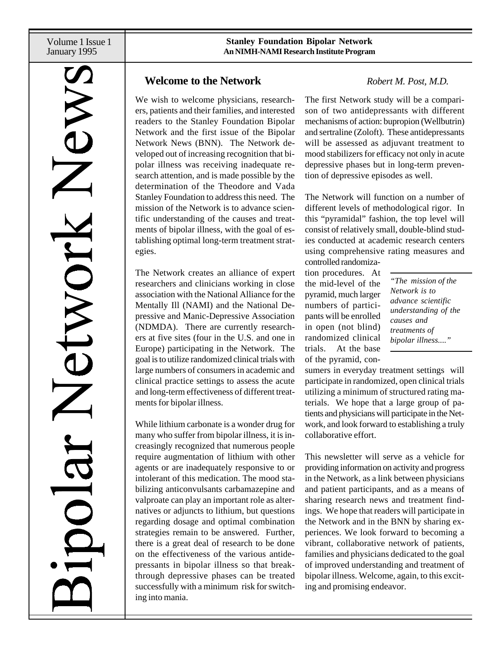Volume 1 Issue 1 January 1995

# etwork

## **Welcome to the Network** *Robert M. Post, M.D.*

We wish to welcome physicians, researchers, patients and their families, and interested readers to the Stanley Foundation Bipolar Network and the first issue of the Bipolar Network News (BNN). The Network developed out of increasing recognition that bipolar illness was receiving inadequate research attention, and is made possible by the determination of the Theodore and Vada Stanley Foundation to address this need. The mission of the Network is to advance scientific understanding of the causes and treatments of bipolar illness, with the goal of establishing optimal long-term treatment strategies.

The Network creates an alliance of expert researchers and clinicians working in close association with the National Alliance for the Mentally Ill (NAMI) and the National Depressive and Manic-Depressive Association (NDMDA). There are currently researchers at five sites (four in the U.S. and one in Europe) participating in the Network. The goal is to utilize randomized clinical trials with large numbers of consumers in academic and clinical practice settings to assess the acute and long-term effectiveness of different treatments for bipolar illness.

While lithium carbonate is a wonder drug for many who suffer from bipolar illness, it is increasingly recognized that numerous people require augmentation of lithium with other agents or are inadequately responsive to or intolerant of this medication. The mood stabilizing anticonvulsants carbamazepine and valproate can play an important role as alternatives or adjuncts to lithium, but questions regarding dosage and optimal combination strategies remain to be answered. Further, there is a great deal of research to be done on the effectiveness of the various antidepressants in bipolar illness so that breakthrough depressive phases can be treated successfully with a minimum risk for switching into mania.

The first Network study will be a comparison of two antidepressants with different mechanisms of action: bupropion (Wellbutrin) and sertraline (Zoloft). These antidepressants will be assessed as adjuvant treatment to mood stabilizers for efficacy not only in acute depressive phases but in long-term prevention of depressive episodes as well.

The Network will function on a number of different levels of methodological rigor. In this "pyramidal" fashion, the top level will consist of relatively small, double-blind studies conducted at academic research centers using comprehensive rating measures and controlled randomiza-

tion procedures. At the mid-level of the pyramid, much larger numbers of participants will be enrolled in open (not blind) randomized clinical trials. At the base of the pyramid, con-

*"The mission of the Network is to advance scientific understanding of the causes and treatments of bipolar illness...."*

sumers in everyday treatment settings will participate in randomized, open clinical trials utilizing a minimum of structured rating materials. We hope that a large group of patients and physicians will participate in the Network, and look forward to establishing a truly collaborative effort.

This newsletter will serve as a vehicle for providing information on activity and progress in the Network, as a link between physicians and patient participants, and as a means of sharing research news and treatment findings. We hope that readers will participate in the Network and in the BNN by sharing experiences. We look forward to becoming a vibrant, collaborative network of patients, families and physicians dedicated to the goal of improved understanding and treatment of bipolar illness. Welcome, again, to this exciting and promising endeavor.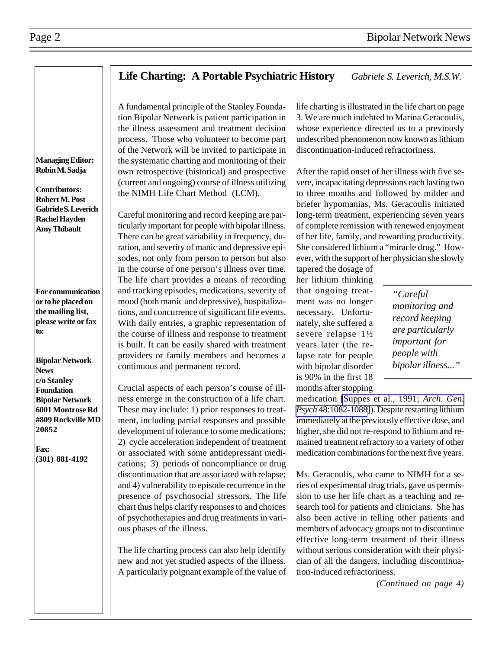### **Life Charting: A Portable Psychiatric History** *Gabriele S. Leverich, M.S.W.*

A fundamental principle of the Stanley Foundation Bipolar Network is patient participation in the illness assessment and treatment decision process. Those who volunteer to become part of the Network will be invited to participate in the systematic charting and monitoring of their own retrospective (historical) and prospective (current and ongoing) course of illness utilizing the NIMH Life Chart Method (LCM).

Careful monitoring and record keeping are particularly important for people with bipolar illness. There can be great variability in frequency, duration, and severity of manic and depressive episodes, not only from person to person but also in the course of one person's illness over time. The life chart provides a means of recording and tracking episodes, medications, severity of mood (both manic and depressive), hospitalizations, and concurrence of significant life events. With daily entries, a graphic representation of the course of illness and response to treatment is built. It can be easily shared with treatment providers or family members and becomes a continuous and permanent record.

Crucial aspects of each person's course of illness emerge in the construction of a life chart. These may include: 1) prior responses to treatment, including partial responses and possible development of tolerance to some medications; 2) cycle acceleration independent of treatment or associated with some antidepressant medications; 3) periods of noncompliance or drug discontinuation that are associated with relapse; and 4) vulnerability to episode recurrence in the presence of psychosocial stressors. The life chart thus helps clarify responses to and choices of psychotherapies and drug treatments in various phases of the illness.

The life charting process can also help identify new and not yet studied aspects of the illness. A particularly poignant example of the value of life charting is illustrated in the life chart on page 3. We are much indebted to Marina Geracoulis, whose experience directed us to a previously undescribed phenomenon now known as lithium discontinuation-induced refractoriness.

After the rapid onset of her illness with five severe, incapacitating depressions each lasting two to three months and followed by milder and briefer hypomanias, Ms. Geracoulis initiated long-term treatment, experiencing seven years of complete remission with renewed enjoyment of her life, family, and rewarding productivity. She considered lithium a "miracle drug." However, with the support of her physician she slowly

tapered the dosage of her lithium thinking that ongoing treatment was no longer necessary. Unfortunately, she suffered a severe relapse 1½ years later (the relapse rate for people with bipolar disorder is 90% in the first 18 months after stopping

*"Careful monitoring and record keeping are particularly important for people with bipolar illness..."*

medication [\[Suppes et al., 1991;](http://www.ncbi.nlm.nih.gov/htbin-post/Entrez/query?uid=1845226&form=6&db=m&Dopt=b) *Arch. Gen. Psych* [48:1082-1088](http://www.ncbi.nlm.nih.gov/htbin-post/Entrez/query?uid=1845226&form=6&db=m&Dopt=b)]). Despite restarting lithium immediately at the previously effective dose, and higher, she did not re-respond to lithium and remained treatment refractory to a variety of other medication combinations for the next five years.

Ms. Geracoulis, who came to NIMH for a series of experimental drug trials, gave us permission to use her life chart as a teaching and research tool for patients and clinicians. She has also been active in telling other patients and members of advocacy groups not to discontinue effective long-term treatment of their illness without serious consideration with their physician of all the dangers, including discontinuation-induced refractoriness.

*(Continued on page 4)*

**Contributors: Robert M. Post Gabriele S. Leverich Rachel Hayden Amy Thibault**

**For communication or to be placed on the mailing list, please write or fax to:**

**Bipolar Network News c/o Stanley Foundation Bipolar Network 6001 Montrose Rd #809 Rockville MD 20852**

**Fax: (301) 881-4192**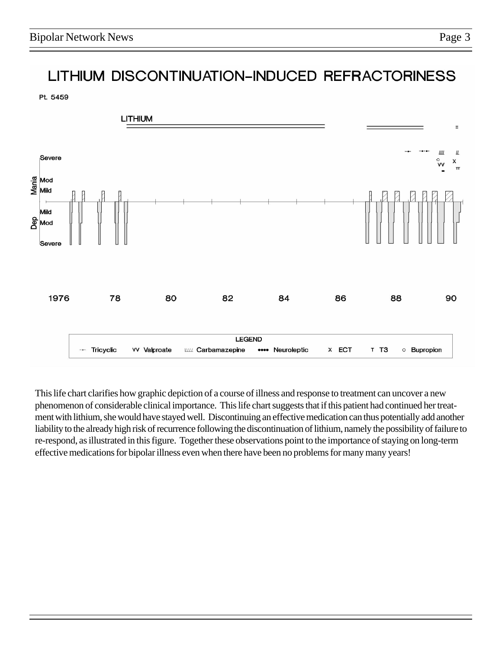# LITHIUM DISCONTINUATION-INDUCED REFRACTORINESS

Pt. 5459



This life chart clarifies how graphic depiction of a course of illness and response to treatment can uncover a new phenomenon of considerable clinical importance. This life chart suggests that if this patient had continued her treatment with lithium, she would have stayed well. Discontinuing an effective medication can thus potentially add another liability to the already high risk of recurrence following the discontinuation of lithium, namely the possibility of failure to re-respond, as illustrated in this figure. Together these observations point to the importance of staying on long-term effective medications for bipolar illness even when there have been no problems for many many years!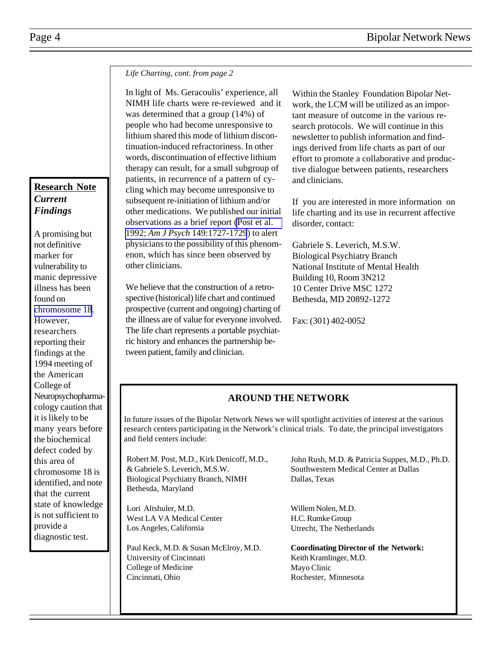*Life Charting, cont. from page 2*

In light of Ms. Geracoulis' experience, all NIMH life charts were re-reviewed and it was determined that a group (14%) of people who had become unresponsive to lithium shared this mode of lithium discontinuation-induced refractoriness. In other words, discontinuation of effective lithium therapy can result, for a small subgroup of patients, in recurrence of a pattern of cycling which may become unresponsive to subsequent re-initiation of lithium and/or other medications. We published our initial observations as a brief report [\(Post et al.](http://www.ncbi.nlm.nih.gov/htbin-post/Entrez/query?uid=1443252&form=6&db=m&Dopt=b) 1992; *Am J Psych* [149:1727-1729](http://www.ncbi.nlm.nih.gov/htbin-post/Entrez/query?uid=1443252&form=6&db=m&Dopt=b)) to alert physicians to the possibility of this phenomenon, which has since been observed by other clinicians.

We believe that the construction of a retrospective (historical) life chart and continued prospective (current and ongoing) charting of the illness are of value for everyone involved. The life chart represents a portable psychiatric history and enhances the partnership between patient, family and clinician.

Within the Stanley Foundation Bipolar Network, the LCM will be utilized as an important measure of outcome in the various research protocols. We will continue in this newsletter to publish information and findings derived from life charts as part of our effort to promote a collaborative and productive dialogue between patients, researchers and clinicians.

If you are interested in more information on life charting and its use in recurrent affective disorder, contact:

Gabriele S. Leverich, M.S.W. Biological Psychiatry Branch National Institute of Mental Health Building 10, Room 3N212 10 Center Drive MSC 1272 Bethesda, MD 20892-1272

Fax: (301) 402-0052

## **AROUND THE NETWORK**

In future issues of the Bipolar Network News we will spotlight activities of interest at the various research centers participating in the Network's clinical trials. To date, the principal investigators and field centers include:

Robert M. Post, M.D., Kirk Denicoff, M.D., & Gabriele S. Leverich, M.S.W. Biological Psychiatry Branch, NIMH Bethesda, Maryland

Lori Altshuler, M.D. West LA VA Medical Center Los Angeles, California

Paul Keck, M.D. & Susan McElroy, M.D. University of Cincinnati College of Medicine Cincinnati, Ohio

John Rush, M.D. & Patricia Suppes, M.D., Ph.D. Southwestern Medical Center at Dallas Dallas, Texas

Willem Nolen, M.D. H.C. Rumke Group Utrecht, The Netherlands

**Coordinating Director of the Network:** Keith Kramlinger, M.D. Mayo Clinic Rochester, Minnesota

### **Research Note** *Current Findings*

A promising but not definitive marker for vulnerability to manic depressive illness has been found on [chromosome 18](http://www.ncbi.nlm.nih.gov/htbin-post/Entrez/query?uid=8016089&form=6&db=m&Dopt=b). However, researchers reporting their findings at the 1994 meeting of the American College of Neuropsychopharmacology caution that it is likely to be many years before the biochemical defect coded by this area of chromosome 18 is identified, and note that the current state of knowledge is not sufficient to provide a diagnostic test.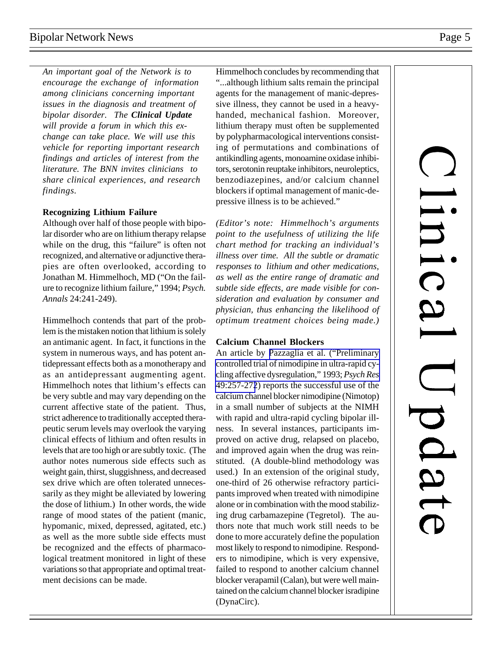*An important goal of the Network is to encourage the exchange of information among clinicians concerning important issues in the diagnosis and treatment of bipolar disorder. The Clinical Update will provide a forum in which this exchange can take place. We will use this vehicle for reporting important research findings and articles of interest from the literature. The BNN invites clinicians to share clinical experiences, and research findings.*

### **Recognizing Lithium Failure**

Although over half of those people with bipolar disorder who are on lithium therapy relapse while on the drug, this "failure" is often not recognized, and alternative or adjunctive therapies are often overlooked, according to Jonathan M. Himmelhoch, MD ("On the failure to recognize lithium failure," 1994; *Psych. Annals* 24:241-249).

Himmelhoch contends that part of the problem is the mistaken notion that lithium is solely an antimanic agent. In fact, it functions in the system in numerous ways, and has potent antidepressant effects both as a monotherapy and as an antidepressant augmenting agent. Himmelhoch notes that lithium's effects can be very subtle and may vary depending on the current affective state of the patient. Thus, strict adherence to traditionally accepted therapeutic serum levels may overlook the varying clinical effects of lithium and often results in levels that are too high or are subtly toxic. (The author notes numerous side effects such as weight gain, thirst, sluggishness, and decreased sex drive which are often tolerated unnecessarily as they might be alleviated by lowering the dose of lithium.) In other words, the wide range of mood states of the patient (manic, hypomanic, mixed, depressed, agitated, etc.) as well as the more subtle side effects must be recognized and the effects of pharmacological treatment monitored in light of these variations so that appropriate and optimal treatment decisions can be made.

Himmelhoch concludes by recommending that "...although lithium salts remain the principal agents for the management of manic-depressive illness, they cannot be used in a heavyhanded, mechanical fashion. Moreover, lithium therapy must often be supplemented by polypharmacological interventions consisting of permutations and combinations of antikindling agents, monoamine oxidase inhibitors, serotonin reuptake inhibitors, neuroleptics, benzodiazepines, and/or calcium channel blockers if optimal management of manic-depressive illness is to be achieved."

*(Editor's note: Himmelhoch's arguments point to the usefulness of utilizing the life chart method for tracking an individual's illness over time. All the subtle or dramatic responses to lithium and other medications, as well as the entire range of dramatic and subtle side effects, are made visible for consideration and evaluation by consumer and physician, thus enhancing the likelihood of optimum treatment choices being made.)*

### **Calcium Channel Blockers**

An article by [Pazzaglia et al. \("Preliminary](http://www.ncbi.nlm.nih.gov/htbin-post/Entrez/query?uid=8177920&form=6&db=m&Dopt=b) [controlled trial of nimodipine in ultra-rapid cy](http://www.ncbi.nlm.nih.gov/htbin-post/Entrez/query?uid=8177920&form=6&db=m&Dopt=b)cling affective dysregulation," 1993; *Psych Res* [49:257-272](http://www.ncbi.nlm.nih.gov/htbin-post/Entrez/query?uid=8177920&form=6&db=m&Dopt=b)) reports the successful use of the calcium channel blocker nimodipine (Nimotop) in a small number of subjects at the NIMH with rapid and ultra-rapid cycling bipolar illness. In several instances, participants improved on active drug, relapsed on placebo, and improved again when the drug was reinstituted. (A double-blind methodology was used.) In an extension of the original study, one-third of 26 otherwise refractory participants improved when treated with nimodipine alone or in combination with the mood stabilizing drug carbamazepine (Tegretol). The authors note that much work still needs to be done to more accurately define the population most likely to respond to nimodipine. Responders to nimodipine, which is very expensive, failed to respond to another calcium channel blocker verapamil (Calan), but were well maintained on the calcium channel blocker isradipine (DynaCirc).